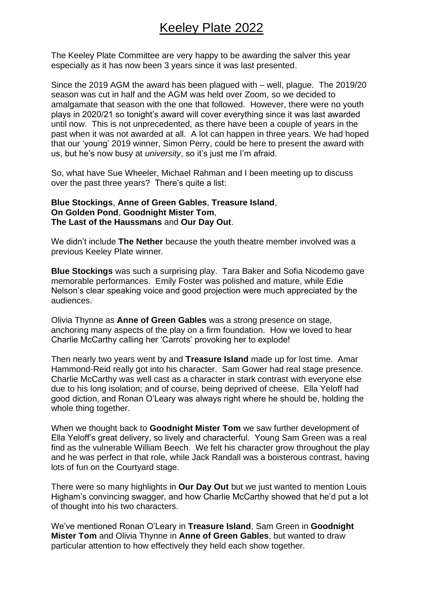The Keeley Plate Committee are very happy to be awarding the salver this year especially as it has now been 3 years since it was last presented.

Since the 2019 AGM the award has been plagued with – well, plague. The 2019/20 season was cut in half and the AGM was held over Zoom, so we decided to amalgamate that season with the one that followed. However, there were no youth plays in 2020/21 so tonight's award will cover everything since it was last awarded until now. This is not unprecedented, as there have been a couple of years in the past when it was not awarded at all. A lot can happen in three years. We had hoped that our 'young' 2019 winner, Simon Perry, could be here to present the award with us, but he's now busy at *university*, so it's just me I'm afraid.

So, what have Sue Wheeler, Michael Rahman and I been meeting up to discuss over the past three years? There's quite a list:

## **Blue Stockings**, **Anne of Green Gables**, **Treasure Island**, **On Golden Pond**, **Goodnight Mister Tom**, **The Last of the Haussmans** and **Our Day Out**.

We didn't include **The Nether** because the youth theatre member involved was a previous Keeley Plate winner.

**Blue Stockings** was such a surprising play. Tara Baker and Sofia Nicodemo gave memorable performances. Emily Foster was polished and mature, while Edie Nelson's clear speaking voice and good projection were much appreciated by the audiences.

Olivia Thynne as **Anne of Green Gables** was a strong presence on stage, anchoring many aspects of the play on a firm foundation. How we loved to hear Charlie McCarthy calling her 'Carrots' provoking her to explode!

Then nearly two years went by and **Treasure Island** made up for lost time. Amar Hammond-Reid really got into his character. Sam Gower had real stage presence. Charlie McCarthy was well cast as a character in stark contrast with everyone else due to his long isolation; and of course, being deprived of cheese. Ella Yeloff had good diction, and Ronan O'Leary was always right where he should be, holding the whole thing together.

When we thought back to **Goodnight Mister Tom** we saw further development of Ella Yeloff's great delivery, so lively and characterful. Young Sam Green was a real find as the vulnerable William Beech. We felt his character grow throughout the play and he was perfect in that role, while Jack Randall was a boisterous contrast, having lots of fun on the Courtyard stage.

There were so many highlights in **Our Day Out** but we just wanted to mention Louis Higham's convincing swagger, and how Charlie McCarthy showed that he'd put a lot of thought into his two characters.

We've mentioned Ronan O'Leary in **Treasure Island**, Sam Green in **Goodnight Mister Tom** and Olivia Thynne in **Anne of Green Gables**, but wanted to draw particular attention to how effectively they held each show together.